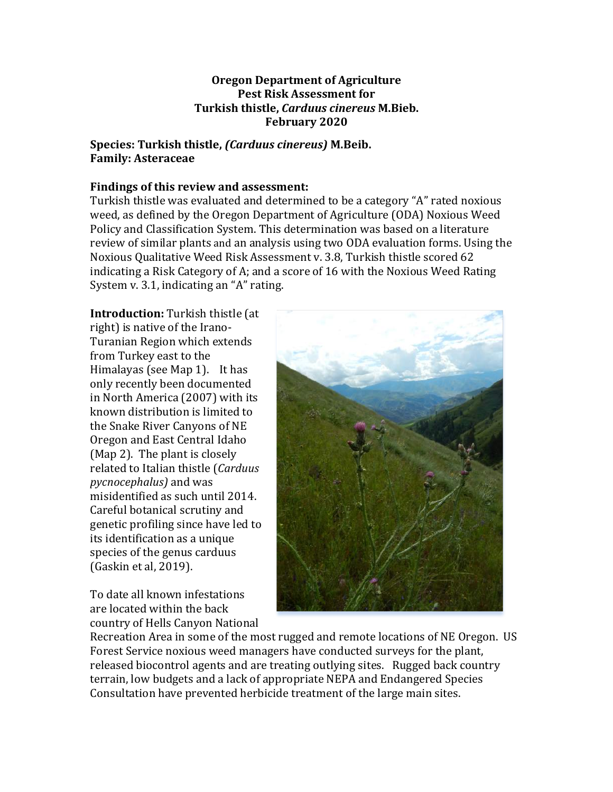#### **Oregon Department of Agriculture Pest Risk Assessment for Turkish thistle,** *Carduus cinereus* **M.Bieb. February 2020**

### **Species: Turkish thistle,** *(Carduus cinereus)* **M.Beib. Family: Asteraceae**

#### Findings of this review and assessment:

Turkish thistle was evaluated and determined to be a category "A" rated noxious weed, as defined by the Oregon Department of Agriculture (ODA) Noxious Weed Policy and Classification System. This determination was based on a literature review of similar plants and an analysis using two ODA evaluation forms. Using the Noxious Qualitative Weed Risk Assessment v. 3.8, Turkish thistle scored 62 indicating a Risk Category of A; and a score of 16 with the Noxious Weed Rating System v. 3.1, indicating an " $A$ " rating.

**Introduction:** Turkish thistle (at right) is native of the Irano-Turanian Region which extends from Turkey east to the Himalayas (see Map 1). It has only recently been documented in North America (2007) with its known distribution is limited to the Snake River Canyons of NE Oregon and East Central Idaho (Map 2). The plant is closely related to Italian thistle (*Carduus pycnocephalus*) and was misidentified as such until 2014. Careful botanical scrutiny and genetic profiling since have led to its identification as a unique species of the genus carduus (Gaskin et al, 2019).

To date all known infestations are located within the back country of Hells Canyon National 



Recreation Area in some of the most rugged and remote locations of NE Oregon. US Forest Service noxious weed managers have conducted surveys for the plant, released biocontrol agents and are treating outlying sites. Rugged back country terrain, low budgets and a lack of appropriate NEPA and Endangered Species Consultation have prevented herbicide treatment of the large main sites.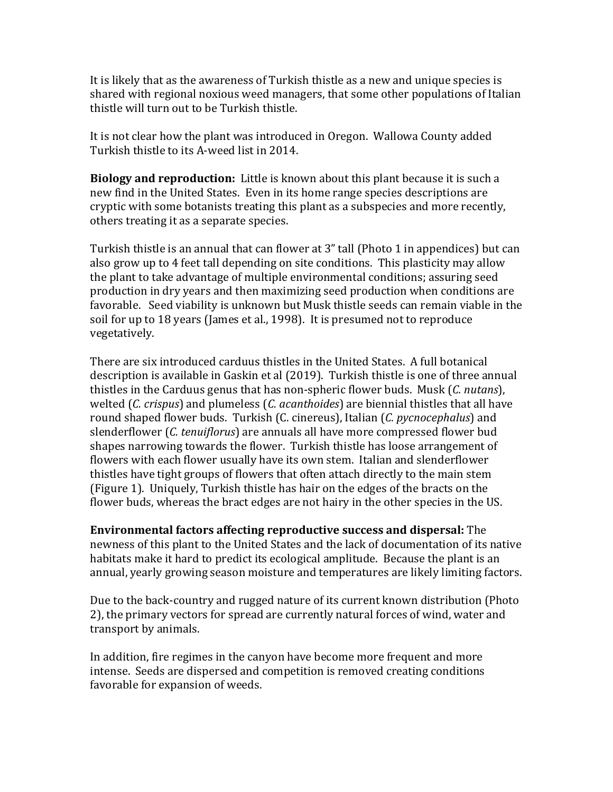It is likely that as the awareness of Turkish thistle as a new and unique species is shared with regional noxious weed managers, that some other populations of Italian thistle will turn out to be Turkish thistle.

It is not clear how the plant was introduced in Oregon. Wallowa County added Turkish thistle to its A-weed list in 2014.

**Biology and reproduction:** Little is known about this plant because it is such a new find in the United States. Even in its home range species descriptions are cryptic with some botanists treating this plant as a subspecies and more recently, others treating it as a separate species.

Turkish thistle is an annual that can flower at 3" tall (Photo 1 in appendices) but can also grow up to 4 feet tall depending on site conditions. This plasticity may allow the plant to take advantage of multiple environmental conditions; assuring seed production in dry years and then maximizing seed production when conditions are favorable. Seed viability is unknown but Musk thistle seeds can remain viable in the soil for up to 18 years (James et al., 1998). It is presumed not to reproduce vegetatively. 

There are six introduced carduus thistles in the United States. A full botanical description is available in Gaskin et al (2019). Turkish thistle is one of three annual thistles in the Carduus genus that has non-spheric flower buds. Musk (*C. nutans*), welted (*C. crispus*) and plumeless (*C. acanthoides*) are biennial thistles that all have round shaped flower buds. Turkish (C. cinereus), Italian (C. pycnocephalus) and slenderflower (*C. tenuiflorus*) are annuals all have more compressed flower bud shapes narrowing towards the flower. Turkish thistle has loose arrangement of flowers with each flower usually have its own stem. Italian and slenderflower thistles have tight groups of flowers that often attach directly to the main stem (Figure 1). Uniquely, Turkish thistle has hair on the edges of the bracts on the flower buds, whereas the bract edges are not hairy in the other species in the US.

**Environmental factors affecting reproductive success and dispersal:** The newness of this plant to the United States and the lack of documentation of its native habitats make it hard to predict its ecological amplitude. Because the plant is an annual, yearly growing season moisture and temperatures are likely limiting factors.

Due to the back-country and rugged nature of its current known distribution (Photo 2), the primary vectors for spread are currently natural forces of wind, water and transport by animals.

In addition, fire regimes in the canyon have become more frequent and more intense. Seeds are dispersed and competition is removed creating conditions favorable for expansion of weeds.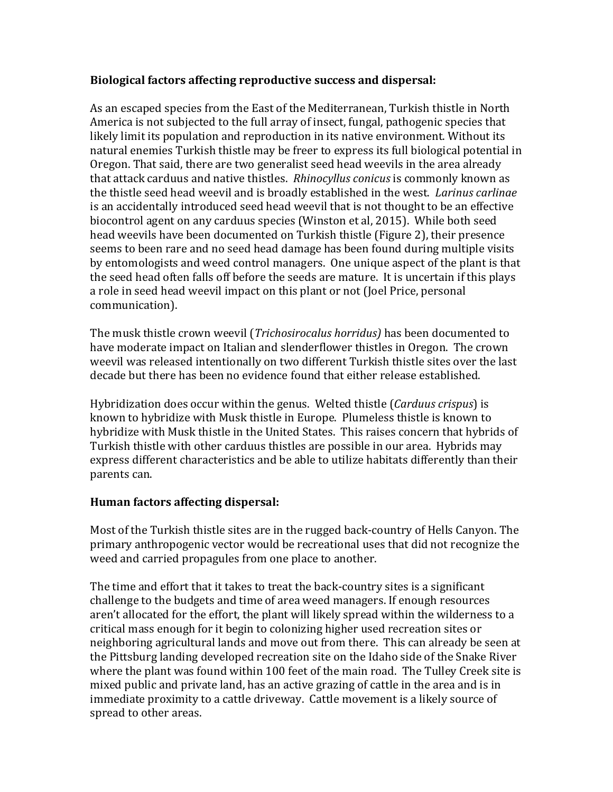#### **Biological factors affecting reproductive success and dispersal:**

As an escaped species from the East of the Mediterranean, Turkish thistle in North America is not subjected to the full array of insect, fungal, pathogenic species that likely limit its population and reproduction in its native environment. Without its natural enemies Turkish thistle may be freer to express its full biological potential in Oregon. That said, there are two generalist seed head weevils in the area already that attack carduus and native thistles. *Rhinocyllus conicus* is commonly known as the thistle seed head weevil and is broadly established in the west. *Larinus carlinae* is an accidentally introduced seed head weevil that is not thought to be an effective biocontrol agent on any carduus species (Winston et al, 2015). While both seed head weevils have been documented on Turkish thistle (Figure 2), their presence seems to been rare and no seed head damage has been found during multiple visits by entomologists and weed control managers. One unique aspect of the plant is that the seed head often falls off before the seeds are mature. It is uncertain if this plays a role in seed head weevil impact on this plant or not (Joel Price, personal communication). 

The musk thistle crown weevil (*Trichosirocalus horridus*) has been documented to have moderate impact on Italian and slenderflower thistles in Oregon. The crown weevil was released intentionally on two different Turkish thistle sites over the last decade but there has been no evidence found that either release established.

Hybridization does occur within the genus. Welted thistle (*Carduus crispus*) is known to hybridize with Musk thistle in Europe. Plumeless thistle is known to hybridize with Musk thistle in the United States. This raises concern that hybrids of Turkish thistle with other carduus thistles are possible in our area. Hybrids may express different characteristics and be able to utilize habitats differently than their parents can.

#### **Human factors affecting dispersal:**

Most of the Turkish thistle sites are in the rugged back-country of Hells Canyon. The primary anthropogenic vector would be recreational uses that did not recognize the weed and carried propagules from one place to another.

The time and effort that it takes to treat the back-country sites is a significant challenge to the budgets and time of area weed managers. If enough resources aren't allocated for the effort, the plant will likely spread within the wilderness to a critical mass enough for it begin to colonizing higher used recreation sites or neighboring agricultural lands and move out from there. This can already be seen at the Pittsburg landing developed recreation site on the Idaho side of the Snake River where the plant was found within 100 feet of the main road. The Tulley Creek site is mixed public and private land, has an active grazing of cattle in the area and is in immediate proximity to a cattle driveway. Cattle movement is a likely source of spread to other areas.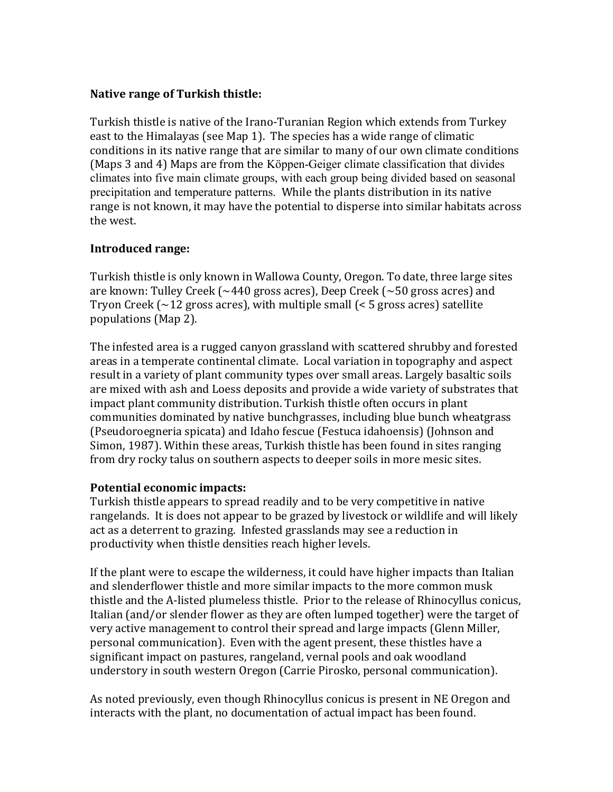#### **Native range of Turkish thistle:**

Turkish thistle is native of the Irano-Turanian Region which extends from Turkey east to the Himalayas (see Map 1). The species has a wide range of climatic conditions in its native range that are similar to many of our own climate conditions (Maps 3 and 4) Maps are from the Köppen-Geiger climate classification that divides climates into five main climate groups, with each group being divided based on seasonal precipitation and temperature patterns. While the plants distribution in its native range is not known, it may have the potential to disperse into similar habitats across the west.

## **Introduced range:**

Turkish thistle is only known in Wallowa County, Oregon. To date, three large sites are known: Tulley Creek ( $\sim$ 440 gross acres), Deep Creek ( $\sim$ 50 gross acres) and Tryon Creek  $\left(\sim\!12\right)$  gross acres), with multiple small  $\left(\leq\!5\right)$  gross acres) satellite populations (Map 2).

The infested area is a rugged canyon grassland with scattered shrubby and forested areas in a temperate continental climate. Local variation in topography and aspect result in a variety of plant community types over small areas. Largely basaltic soils are mixed with ash and Loess deposits and provide a wide variety of substrates that impact plant community distribution. Turkish thistle often occurs in plant communities dominated by native bunchgrasses, including blue bunch wheatgrass (Pseudoroegneria spicata) and Idaho fescue (Festuca idahoensis) (Johnson and Simon, 1987). Within these areas, Turkish thistle has been found in sites ranging from dry rocky talus on southern aspects to deeper soils in more mesic sites.

# **Potential economic impacts:**

Turkish thistle appears to spread readily and to be very competitive in native rangelands. It is does not appear to be grazed by livestock or wildlife and will likely act as a deterrent to grazing. Infested grasslands may see a reduction in productivity when thistle densities reach higher levels.

If the plant were to escape the wilderness, it could have higher impacts than Italian and slenderflower thistle and more similar impacts to the more common musk thistle and the A-listed plumeless thistle. Prior to the release of Rhinocyllus conicus, Italian (and/or slender flower as they are often lumped together) were the target of very active management to control their spread and large impacts (Glenn Miller, personal communication). Even with the agent present, these thistles have a significant impact on pastures, rangeland, vernal pools and oak woodland understory in south western Oregon (Carrie Pirosko, personal communication).

As noted previously, even though Rhinocyllus conicus is present in NE Oregon and interacts with the plant, no documentation of actual impact has been found.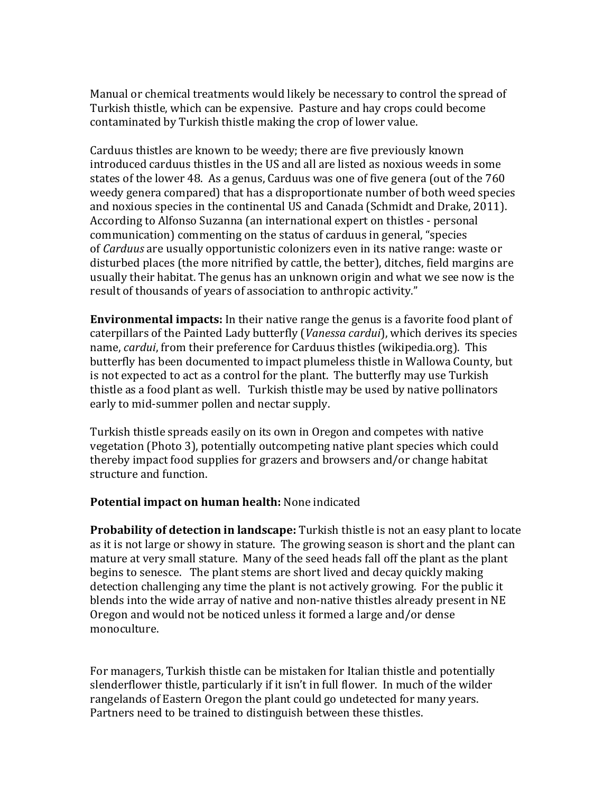Manual or chemical treatments would likely be necessary to control the spread of Turkish thistle, which can be expensive. Pasture and hay crops could become contaminated by Turkish thistle making the crop of lower value.

Carduus thistles are known to be weedy; there are five previously known introduced carduus thistles in the US and all are listed as noxious weeds in some states of the lower 48. As a genus, Carduus was one of five genera (out of the 760 weedy genera compared) that has a disproportionate number of both weed species and noxious species in the continental US and Canada (Schmidt and Drake, 2011). According to Alfonso Suzanna (an international expert on thistles - personal communication) commenting on the status of carduus in general, "species of *Carduus* are usually opportunistic colonizers even in its native range: waste or disturbed places (the more nitrified by cattle, the better), ditches, field margins are usually their habitat. The genus has an unknown origin and what we see now is the result of thousands of years of association to anthropic activity."

**Environmental impacts:** In their native range the genus is a favorite food plant of caterpillars of the Painted Lady butterfly (*Vanessa cardui*), which derives its species name, *cardui*, from their preference for Carduus thistles (wikipedia.org). This butterfly has been documented to impact plumeless thistle in Wallowa County, but is not expected to act as a control for the plant. The butterfly may use Turkish thistle as a food plant as well. Turkish thistle may be used by native pollinators early to mid-summer pollen and nectar supply.

Turkish thistle spreads easily on its own in Oregon and competes with native vegetation (Photo 3), potentially outcompeting native plant species which could thereby impact food supplies for grazers and browsers and/or change habitat structure and function.

#### **Potential impact on human health:** None indicated

**Probability of detection in landscape:** Turkish thistle is not an easy plant to locate as it is not large or showy in stature. The growing season is short and the plant can mature at very small stature. Many of the seed heads fall off the plant as the plant begins to senesce. The plant stems are short lived and decay quickly making detection challenging any time the plant is not actively growing. For the public it blends into the wide array of native and non-native thistles already present in NE Oregon and would not be noticed unless it formed a large and/or dense monoculture. 

For managers, Turkish thistle can be mistaken for Italian thistle and potentially slenderflower thistle, particularly if it isn't in full flower. In much of the wilder rangelands of Eastern Oregon the plant could go undetected for many years. Partners need to be trained to distinguish between these thistles.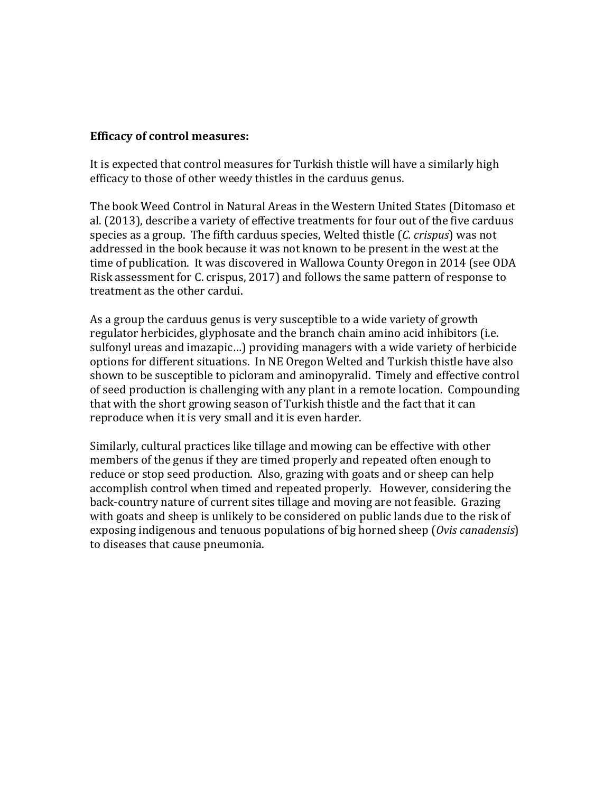#### **Efficacy of control measures:**

It is expected that control measures for Turkish thistle will have a similarly high efficacy to those of other weedy thistles in the carduus genus.

The book Weed Control in Natural Areas in the Western United States (Ditomaso et al. (2013), describe a variety of effective treatments for four out of the five carduus species as a group. The fifth carduus species, Welted thistle (*C. crispus*) was not addressed in the book because it was not known to be present in the west at the time of publication. It was discovered in Wallowa County Oregon in 2014 (see ODA Risk assessment for C. crispus, 2017) and follows the same pattern of response to treatment as the other cardui.

As a group the carduus genus is very susceptible to a wide variety of growth regulator herbicides, glyphosate and the branch chain amino acid inhibitors (i.e. sulfonyl ureas and imazapic...) providing managers with a wide variety of herbicide options for different situations. In NE Oregon Welted and Turkish thistle have also shown to be susceptible to picloram and aminopyralid. Timely and effective control of seed production is challenging with any plant in a remote location. Compounding that with the short growing season of Turkish thistle and the fact that it can reproduce when it is very small and it is even harder.

Similarly, cultural practices like tillage and mowing can be effective with other members of the genus if they are timed properly and repeated often enough to reduce or stop seed production. Also, grazing with goats and or sheep can help accomplish control when timed and repeated properly. However, considering the back-country nature of current sites tillage and moving are not feasible. Grazing with goats and sheep is unlikely to be considered on public lands due to the risk of exposing indigenous and tenuous populations of big horned sheep (*Ovis canadensis*) to diseases that cause pneumonia.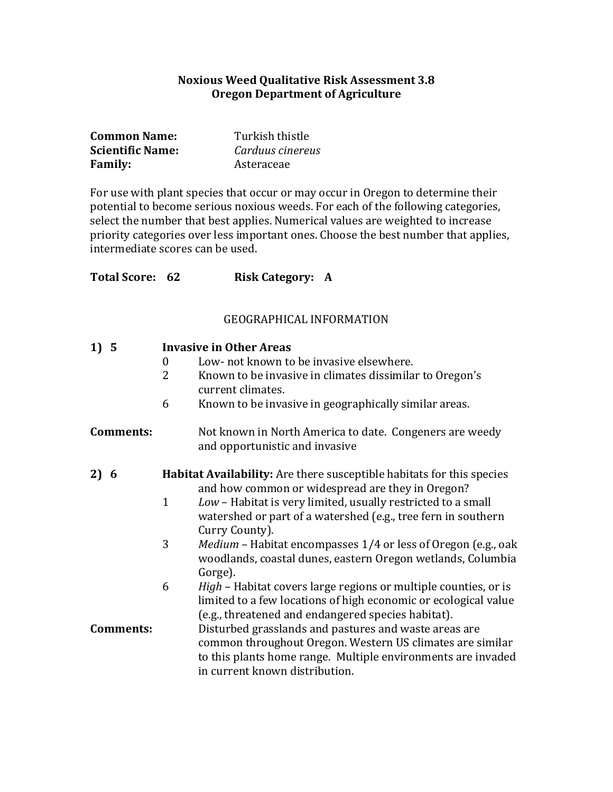#### **Noxious Weed Qualitative Risk Assessment 3.8 Oregon Department of Agriculture**

| <b>Common Name:</b>     | Turkish thistle  |
|-------------------------|------------------|
| <b>Scientific Name:</b> | Carduus cinereus |
| <b>Family:</b>          | Asteraceae       |

For use with plant species that occur or may occur in Oregon to determine their potential to become serious noxious weeds. For each of the following categories, select the number that best applies. Numerical values are weighted to increase priority categories over less important ones. Choose the best number that applies, intermediate scores can be used.

| <b>Total Score: 62</b> | <b>Risk Category: A</b> |  |
|------------------------|-------------------------|--|
|                        |                         |  |

#### **GEOGRAPHICAL INFORMATION**

| 1) 5             | <b>Invasive in Other Areas</b> |                                                                                                                                                                                                                      |  |  |  |
|------------------|--------------------------------|----------------------------------------------------------------------------------------------------------------------------------------------------------------------------------------------------------------------|--|--|--|
|                  | $\mathbf{0}$                   | Low- not known to be invasive elsewhere.                                                                                                                                                                             |  |  |  |
|                  | $\overline{2}$                 | Known to be invasive in climates dissimilar to Oregon's<br>current climates.                                                                                                                                         |  |  |  |
|                  | 6                              | Known to be invasive in geographically similar areas.                                                                                                                                                                |  |  |  |
| <b>Comments:</b> |                                | Not known in North America to date. Congeners are weedy<br>and opportunistic and invasive                                                                                                                            |  |  |  |
| 2) 6             |                                | Habitat Availability: Are there susceptible habitats for this species<br>and how common or widespread are they in Oregon?                                                                                            |  |  |  |
|                  | $\mathbf{1}$                   | Low - Habitat is very limited, usually restricted to a small<br>watershed or part of a watershed (e.g., tree fern in southern<br>Curry County).                                                                      |  |  |  |
|                  | 3                              | <i>Medium</i> – Habitat encompasses 1/4 or less of Oregon (e.g., oak<br>woodlands, coastal dunes, eastern Oregon wetlands, Columbia<br>Gorge).                                                                       |  |  |  |
|                  | 6                              | <i>High</i> – Habitat covers large regions or multiple counties, or is<br>limited to a few locations of high economic or ecological value<br>(e.g., threatened and endangered species habitat).                      |  |  |  |
| <b>Comments:</b> |                                | Disturbed grasslands and pastures and waste areas are<br>common throughout Oregon. Western US climates are similar<br>to this plants home range. Multiple environments are invaded<br>in current known distribution. |  |  |  |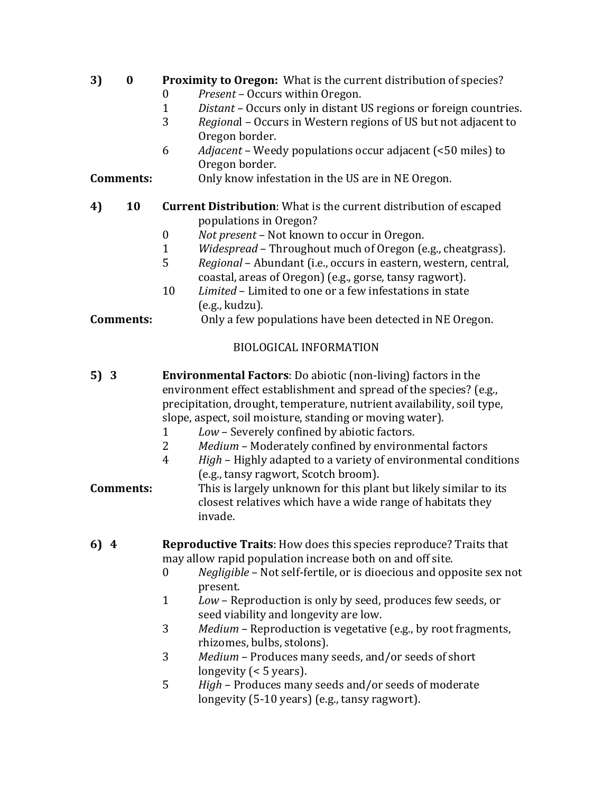# **3) 0** Proximity to Oregon: What is the current distribution of species?

- 0 Present Occurs within Oregon.
- 1 *Distant* Occurs only in distant US regions or foreign countries.
- 3 *Regional* Occurs in Western regions of US but not adjacent to Oregon border.
- 6 *Adjacent* Weedy populations occur adjacent (<50 miles) to Oregon border.

### **Comments:** Only know infestation in the US are in NE Oregon.

#### **4) 10 Current Distribution:** What is the current distribution of escaped populations in Oregon?

- 0 *Not present* Not known to occur in Oregon.
- 1 *Widespread* Throughout much of Oregon (e.g., cheatgrass).
- 5 Regional Abundant (i.e., occurs in eastern, western, central, coastal, areas of Oregon) (e.g., gorse, tansy ragwort).
- 10 *Limited* Limited to one or a few infestations in state (e.g., kudzu).

## **Comments:** Only a few populations have been detected in NE Oregon.

## BIOLOGICAL INFORMATION

- **5) 3 Environmental Factors**: Do abiotic (non-living) factors in the environment effect establishment and spread of the species? (e.g., precipitation, drought, temperature, nutrient availability, soil type, slope, aspect, soil moisture, standing or moving water).
	- 1 *Low* Severely confined by abiotic factors.
	- 2 Medium Moderately confined by environmental factors
	- 4 *High* Highly adapted to a variety of environmental conditions (e.g., tansy ragwort, Scotch broom).

# **Comments:** This is largely unknown for this plant but likely similar to its closest relatives which have a wide range of habitats they invade.

- **6)** 4 **Reproductive Traits**: How does this species reproduce? Traits that may allow rapid population increase both on and off site.
	- 0 Negligible Not self-fertile, or is dioecious and opposite sex not present.
	- 1 *Low* Reproduction is only by seed, produces few seeds, or seed viability and longevity are low.
	- 3 Medium Reproduction is vegetative (e.g., by root fragments, rhizomes, bulbs, stolons).
	- 3 Medium Produces many seeds, and/or seeds of short longevity  $($  < 5 years).
	- 5 *High* Produces many seeds and/or seeds of moderate longevity (5-10 years) (e.g., tansy ragwort).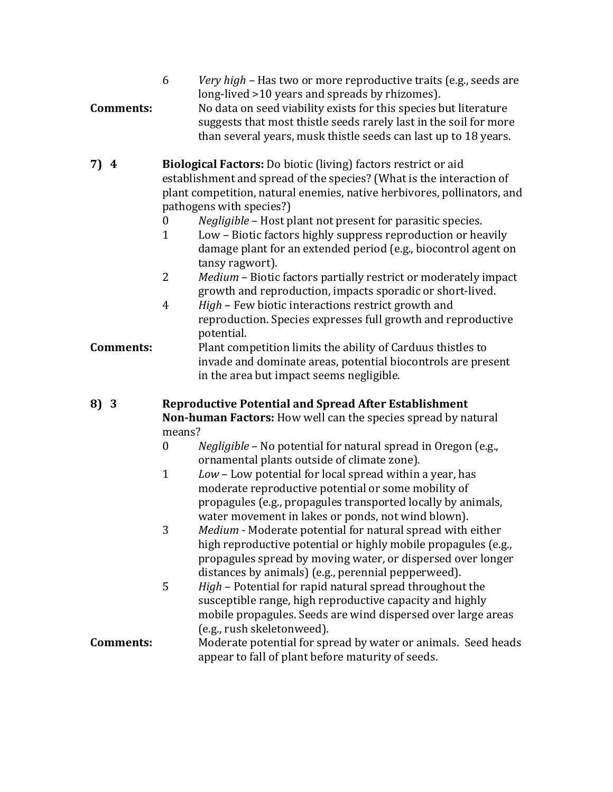| <b>Comments:</b> | Very high – Has two or more reproductive traits (e.g., seeds are<br>6<br>long-lived >10 years and spreads by rhizomes).<br>No data on seed viability exists for this species but literature<br>suggests that most thistle seeds rarely last in the soil for more<br>than several years, musk thistle seeds can last up to 18 years. |
|------------------|-------------------------------------------------------------------------------------------------------------------------------------------------------------------------------------------------------------------------------------------------------------------------------------------------------------------------------------|
| 7)4              | <b>Biological Factors:</b> Do biotic (living) factors restrict or aid                                                                                                                                                                                                                                                               |

- establishment and spread of the species? (What is the interaction of plant competition, natural enemies, native herbivores, pollinators, and pathogens with species?)
	- 0 Negligible Host plant not present for parasitic species.
	- 1 Low Biotic factors highly suppress reproduction or heavily damage plant for an extended period (e.g., biocontrol agent on tansy ragwort).
	- 2 Medium Biotic factors partially restrict or moderately impact growth and reproduction, impacts sporadic or short-lived.
	- 4 *High* Few biotic interactions restrict growth and reproduction. Species expresses full growth and reproductive potential.

## **Comments:** Plant competition limits the ability of Carduus thistles to invade and dominate areas, potential biocontrols are present in the area but impact seems negligible.

- **8) 3 Reproductive Potential and Spread After Establishment Non-human Factors:** How well can the species spread by natural means?
	- 0 Negligible No potential for natural spread in Oregon (e.g., ornamental plants outside of climate zone).
	- 1 *Low* Low potential for local spread within a year, has moderate reproductive potential or some mobility of propagules (e.g., propagules transported locally by animals, water movement in lakes or ponds, not wind blown).
	- 3 Medium Moderate potential for natural spread with either high reproductive potential or highly mobile propagules (e.g., propagules spread by moving water, or dispersed over longer distances by animals) (e.g., perennial pepperweed).
	- 5 *High* Potential for rapid natural spread throughout the susceptible range, high reproductive capacity and highly mobile propagules. Seeds are wind dispersed over large areas (e.g., rush skeletonweed).

## **Comments:** Moderate potential for spread by water or animals. Seed heads appear to fall of plant before maturity of seeds.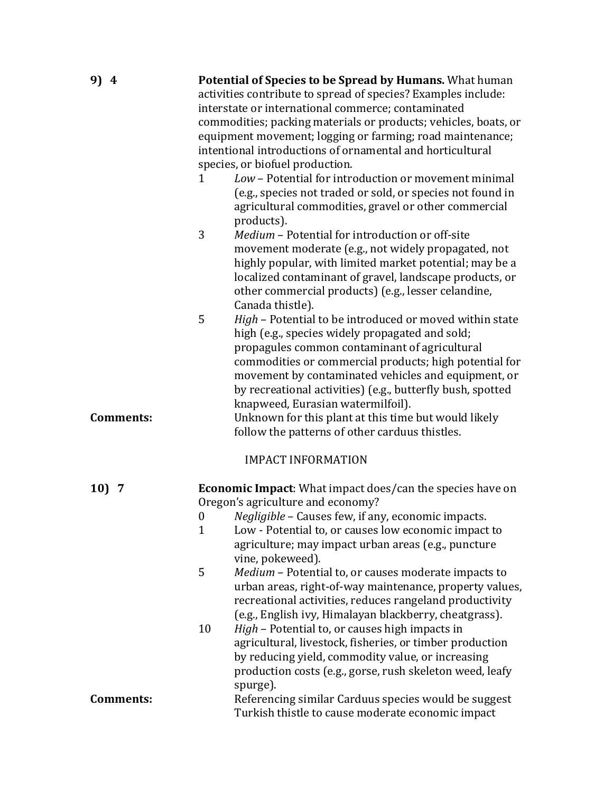| 9) 4             | Potential of Species to be Spread by Humans. What human<br>activities contribute to spread of species? Examples include:<br>interstate or international commerce; contaminated<br>commodities; packing materials or products; vehicles, boats, or<br>equipment movement; logging or farming; road maintenance;<br>intentional introductions of ornamental and horticultural<br>species, or biofuel production.<br>Low - Potential for introduction or movement minimal<br>1<br>(e.g., species not traded or sold, or species not found in<br>agricultural commodities, gravel or other commercial<br>products).<br>3<br>Medium - Potential for introduction or off-site |  |  |  |  |  |
|------------------|-------------------------------------------------------------------------------------------------------------------------------------------------------------------------------------------------------------------------------------------------------------------------------------------------------------------------------------------------------------------------------------------------------------------------------------------------------------------------------------------------------------------------------------------------------------------------------------------------------------------------------------------------------------------------|--|--|--|--|--|
|                  | movement moderate (e.g., not widely propagated, not<br>highly popular, with limited market potential; may be a<br>localized contaminant of gravel, landscape products, or<br>other commercial products) (e.g., lesser celandine,<br>Canada thistle).                                                                                                                                                                                                                                                                                                                                                                                                                    |  |  |  |  |  |
|                  | 5<br>High - Potential to be introduced or moved within state<br>high (e.g., species widely propagated and sold;<br>propagules common contaminant of agricultural<br>commodities or commercial products; high potential for<br>movement by contaminated vehicles and equipment, or<br>by recreational activities) (e.g., butterfly bush, spotted<br>knapweed, Eurasian watermilfoil).                                                                                                                                                                                                                                                                                    |  |  |  |  |  |
| <b>Comments:</b> | Unknown for this plant at this time but would likely<br>follow the patterns of other carduus thistles.                                                                                                                                                                                                                                                                                                                                                                                                                                                                                                                                                                  |  |  |  |  |  |
|                  | <b>IMPACT INFORMATION</b>                                                                                                                                                                                                                                                                                                                                                                                                                                                                                                                                                                                                                                               |  |  |  |  |  |
| 10)7             | <b>Economic Impact:</b> What impact does/can the species have on<br>Oregon's agriculture and economy?                                                                                                                                                                                                                                                                                                                                                                                                                                                                                                                                                                   |  |  |  |  |  |
|                  | 0 Negligible - Causes few, if any, economic impacts.                                                                                                                                                                                                                                                                                                                                                                                                                                                                                                                                                                                                                    |  |  |  |  |  |
|                  | Low - Potential to, or causes low economic impact to<br>$\mathbf{1}$                                                                                                                                                                                                                                                                                                                                                                                                                                                                                                                                                                                                    |  |  |  |  |  |
|                  | agriculture; may impact urban areas (e.g., puncture                                                                                                                                                                                                                                                                                                                                                                                                                                                                                                                                                                                                                     |  |  |  |  |  |
|                  |                                                                                                                                                                                                                                                                                                                                                                                                                                                                                                                                                                                                                                                                         |  |  |  |  |  |
|                  | vine, pokeweed).<br>5                                                                                                                                                                                                                                                                                                                                                                                                                                                                                                                                                                                                                                                   |  |  |  |  |  |
|                  | Medium - Potential to, or causes moderate impacts to<br>urban areas, right-of-way maintenance, property values,<br>recreational activities, reduces rangeland productivity<br>(e.g., English ivy, Himalayan blackberry, cheatgrass).                                                                                                                                                                                                                                                                                                                                                                                                                                    |  |  |  |  |  |
|                  | High - Potential to, or causes high impacts in<br>10                                                                                                                                                                                                                                                                                                                                                                                                                                                                                                                                                                                                                    |  |  |  |  |  |
|                  | agricultural, livestock, fisheries, or timber production                                                                                                                                                                                                                                                                                                                                                                                                                                                                                                                                                                                                                |  |  |  |  |  |
|                  | by reducing yield, commodity value, or increasing                                                                                                                                                                                                                                                                                                                                                                                                                                                                                                                                                                                                                       |  |  |  |  |  |
|                  | production costs (e.g., gorse, rush skeleton weed, leafy                                                                                                                                                                                                                                                                                                                                                                                                                                                                                                                                                                                                                |  |  |  |  |  |
|                  | spurge).                                                                                                                                                                                                                                                                                                                                                                                                                                                                                                                                                                                                                                                                |  |  |  |  |  |
| <b>Comments:</b> | Referencing similar Carduus species would be suggest                                                                                                                                                                                                                                                                                                                                                                                                                                                                                                                                                                                                                    |  |  |  |  |  |
|                  | Turkish thistle to cause moderate economic impact                                                                                                                                                                                                                                                                                                                                                                                                                                                                                                                                                                                                                       |  |  |  |  |  |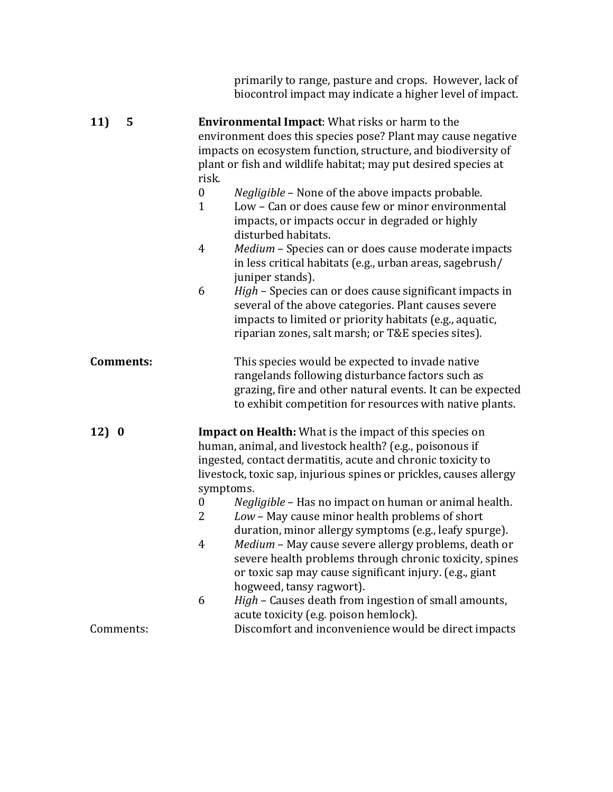|                  | primarily to range, pasture and crops. However, lack of<br>biocontrol impact may indicate a higher level of impact.                                                                                                                                                                                                                                                                                                                                                                                                                                                                                                                                                                                                                                                                                                              |
|------------------|----------------------------------------------------------------------------------------------------------------------------------------------------------------------------------------------------------------------------------------------------------------------------------------------------------------------------------------------------------------------------------------------------------------------------------------------------------------------------------------------------------------------------------------------------------------------------------------------------------------------------------------------------------------------------------------------------------------------------------------------------------------------------------------------------------------------------------|
| 11)<br>5         | <b>Environmental Impact:</b> What risks or harm to the<br>environment does this species pose? Plant may cause negative<br>impacts on ecosystem function, structure, and biodiversity of<br>plant or fish and wildlife habitat; may put desired species at<br>risk.<br>$\boldsymbol{0}$<br><i>Negligible</i> – None of the above impacts probable.<br>Low - Can or does cause few or minor environmental<br>$\mathbf{1}$<br>impacts, or impacts occur in degraded or highly<br>disturbed habitats.<br>Medium - Species can or does cause moderate impacts<br>4<br>in less critical habitats (e.g., urban areas, sagebrush/<br>juniper stands).<br>High - Species can or does cause significant impacts in<br>6<br>several of the above categories. Plant causes severe<br>impacts to limited or priority habitats (e.g., aquatic, |
| <b>Comments:</b> | riparian zones, salt marsh; or T&E species sites).<br>This species would be expected to invade native<br>rangelands following disturbance factors such as<br>grazing, fire and other natural events. It can be expected<br>to exhibit competition for resources with native plants.                                                                                                                                                                                                                                                                                                                                                                                                                                                                                                                                              |
| 12) 0            | <b>Impact on Health:</b> What is the impact of this species on<br>human, animal, and livestock health? (e.g., poisonous if<br>ingested, contact dermatitis, acute and chronic toxicity to<br>livestock, toxic sap, injurious spines or prickles, causes allergy<br>symptoms.<br>Negligible - Has no impact on human or animal health.<br>$\boldsymbol{0}$<br>Low - May cause minor health problems of short<br>2<br>duration, minor allergy symptoms (e.g., leafy spurge).<br>Medium - May cause severe allergy problems, death or<br>4<br>severe health problems through chronic toxicity, spines<br>or toxic sap may cause significant injury. (e.g., giant<br>hogweed, tansy ragwort).<br>6<br>High - Causes death from ingestion of small amounts,<br>acute toxicity (e.g. poison hemlock).                                  |
| Comments:        | Discomfort and inconvenience would be direct impacts                                                                                                                                                                                                                                                                                                                                                                                                                                                                                                                                                                                                                                                                                                                                                                             |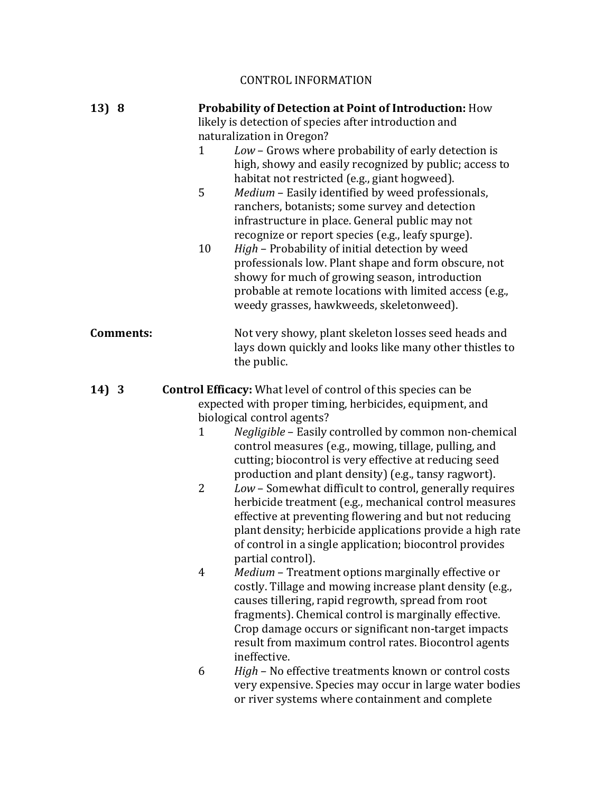# CONTROL INFORMATION

| 13) 8            |                | Probability of Detection at Point of Introduction: How<br>likely is detection of species after introduction and                                                                                                                                                                                                                                               |  |  |  |  |
|------------------|----------------|---------------------------------------------------------------------------------------------------------------------------------------------------------------------------------------------------------------------------------------------------------------------------------------------------------------------------------------------------------------|--|--|--|--|
|                  |                | naturalization in Oregon?                                                                                                                                                                                                                                                                                                                                     |  |  |  |  |
|                  | $\mathbf{1}$   | Low - Grows where probability of early detection is<br>high, showy and easily recognized by public; access to<br>habitat not restricted (e.g., giant hogweed).                                                                                                                                                                                                |  |  |  |  |
|                  | 5              | Medium - Easily identified by weed professionals,<br>ranchers, botanists; some survey and detection<br>infrastructure in place. General public may not<br>recognize or report species (e.g., leafy spurge).                                                                                                                                                   |  |  |  |  |
|                  | 10             | High - Probability of initial detection by weed<br>professionals low. Plant shape and form obscure, not<br>showy for much of growing season, introduction<br>probable at remote locations with limited access (e.g.,<br>weedy grasses, hawkweeds, skeletonweed).                                                                                              |  |  |  |  |
| <b>Comments:</b> |                | Not very showy, plant skeleton losses seed heads and<br>lays down quickly and looks like many other thistles to<br>the public.                                                                                                                                                                                                                                |  |  |  |  |
| 14) 3            |                | <b>Control Efficacy:</b> What level of control of this species can be                                                                                                                                                                                                                                                                                         |  |  |  |  |
|                  |                | expected with proper timing, herbicides, equipment, and                                                                                                                                                                                                                                                                                                       |  |  |  |  |
|                  |                | biological control agents?                                                                                                                                                                                                                                                                                                                                    |  |  |  |  |
|                  | 1              | Negligible - Easily controlled by common non-chemical<br>control measures (e.g., mowing, tillage, pulling, and<br>cutting; biocontrol is very effective at reducing seed<br>production and plant density) (e.g., tansy ragwort).                                                                                                                              |  |  |  |  |
|                  | $\overline{2}$ | Low - Somewhat difficult to control, generally requires<br>herbicide treatment (e.g., mechanical control measures<br>effective at preventing flowering and but not reducing<br>plant density; herbicide applications provide a high rate<br>of control in a single application; biocontrol provides<br>partial control).                                      |  |  |  |  |
|                  | $\overline{4}$ | Medium - Treatment options marginally effective or<br>costly. Tillage and mowing increase plant density (e.g.,<br>causes tillering, rapid regrowth, spread from root<br>fragments). Chemical control is marginally effective.<br>Crop damage occurs or significant non-target impacts<br>result from maximum control rates. Biocontrol agents<br>ineffective. |  |  |  |  |
|                  | 6              | High - No effective treatments known or control costs<br>very expensive. Species may occur in large water bodies<br>or river systems where containment and complete                                                                                                                                                                                           |  |  |  |  |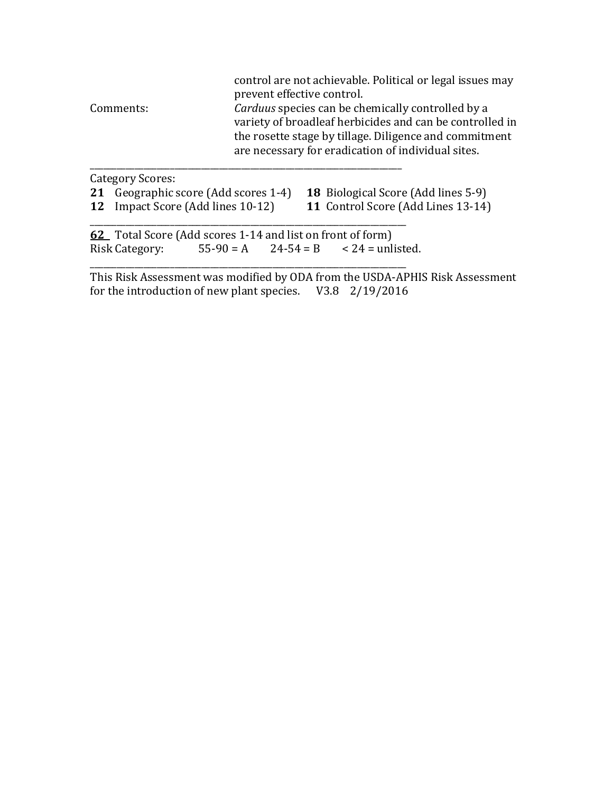| Comments:               | control are not achievable. Political or legal issues may<br>prevent effective control.<br>Carduus species can be chemically controlled by a                             |
|-------------------------|--------------------------------------------------------------------------------------------------------------------------------------------------------------------------|
|                         | variety of broadleaf herbicides and can be controlled in<br>the rosette stage by tillage. Diligence and commitment<br>are necessary for eradication of individual sites. |
| <b>Category Scores:</b> |                                                                                                                                                                          |

| 21 Geographic score (Add scores 1-4) 18 Biological Score (Add lines 5-9) |  |  |  |  |  |
|--------------------------------------------------------------------------|--|--|--|--|--|
|                                                                          |  |  |  |  |  |

**12** Impact Score (Add lines 10-12) **11** Control Score (Add Lines 13-14)

\_\_\_\_\_\_\_\_\_\_\_\_\_\_\_\_\_\_\_\_\_\_\_\_\_\_\_\_\_\_\_\_\_\_\_\_\_\_\_\_\_\_\_\_\_\_\_\_\_\_\_\_\_\_\_\_\_\_\_\_\_\_\_\_\_\_\_\_\_\_\_ **62** Total Score (Add scores 1-14 and list on front of form) Risk Category:  $55-90 = A$   $24-54 = B$   $< 24 =$  unlisted.

\_\_\_\_\_\_\_\_\_\_\_\_\_\_\_\_\_\_\_\_\_\_\_\_\_\_\_\_\_\_\_\_\_\_\_\_\_\_\_\_\_\_\_\_\_\_\_\_\_\_\_\_\_\_\_\_\_\_\_\_\_\_\_\_\_\_\_\_\_\_\_

This Risk Assessment was modified by ODA from the USDA-APHIS Risk Assessment for the introduction of new plant species.  $V3.8 \quad 2/19/2016$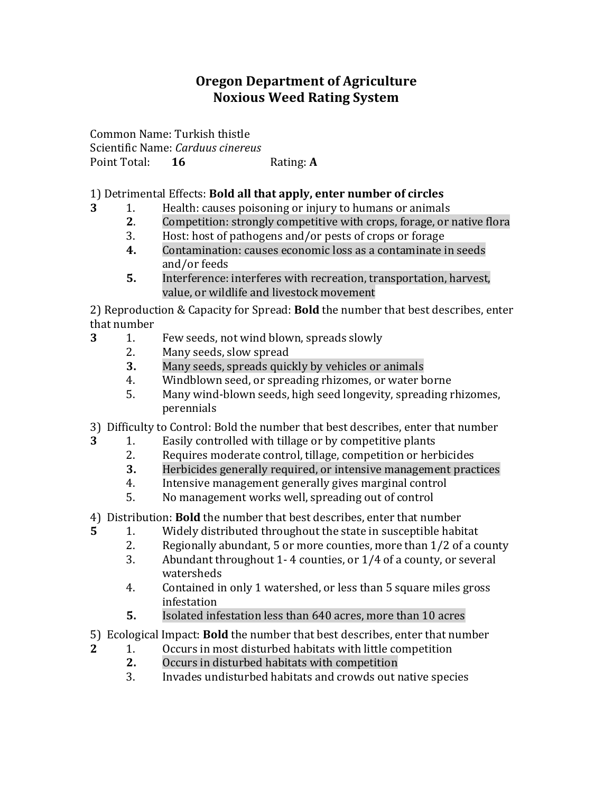# **Oregon Department of Agriculture Noxious Weed Rating System**

Common Name: Turkish thistle Scientific Name: *Carduus cinereus* Point Total: **16** Rating: **A** 

## 1) Detrimental Effects: **Bold all that apply, enter number of circles**

- **3** 1. Health: causes poisoning or injury to humans or animals
	- **2.** Competition: strongly competitive with crops, forage, or native flora
	- 3. Host: host of pathogens and/or pests of crops or forage
	- **4.** Contamination: causes economic loss as a contaminate in seeds and/or feeds
	- **5.** Interference: interferes with recreation, transportation, harvest, value, or wildlife and livestock movement

2) Reproduction & Capacity for Spread: **Bold** the number that best describes, enter that number

- **3** 1. Few seeds, not wind blown, spreads slowly
	- 2. Many seeds, slow spread
	- **3.** Many seeds, spreads quickly by vehicles or animals
	- 4. Windblown seed, or spreading rhizomes, or water borne
	- 5. Many wind-blown seeds, high seed longevity, spreading rhizomes, perennials
- 3) Difficulty to Control: Bold the number that best describes, enter that number
- **3** 1. Easily controlled with tillage or by competitive plants
	- 2. Requires moderate control, tillage, competition or herbicides
	- **3.** Herbicides generally required, or intensive management practices
	- 4. Intensive management generally gives marginal control
	- 5. No management works well, spreading out of control
- 4) Distribution: **Bold** the number that best describes, enter that number
- **5** 1. Widely distributed throughout the state in susceptible habitat
	- 2. Regionally abundant, 5 or more counties, more than  $1/2$  of a county
	- 3. Abundant throughout 1-4 counties, or  $1/4$  of a county, or several watersheds
	- 4. Contained in only 1 watershed, or less than 5 square miles gross infestation
	- **5.** Isolated infestation less than 640 acres, more than 10 acres
- 5) Ecological Impact: **Bold** the number that best describes, enter that number
- **2** 1. Occurs in most disturbed habitats with little competition
	- **2.** Occurs in disturbed habitats with competition
	- 3. Invades undisturbed habitats and crowds out native species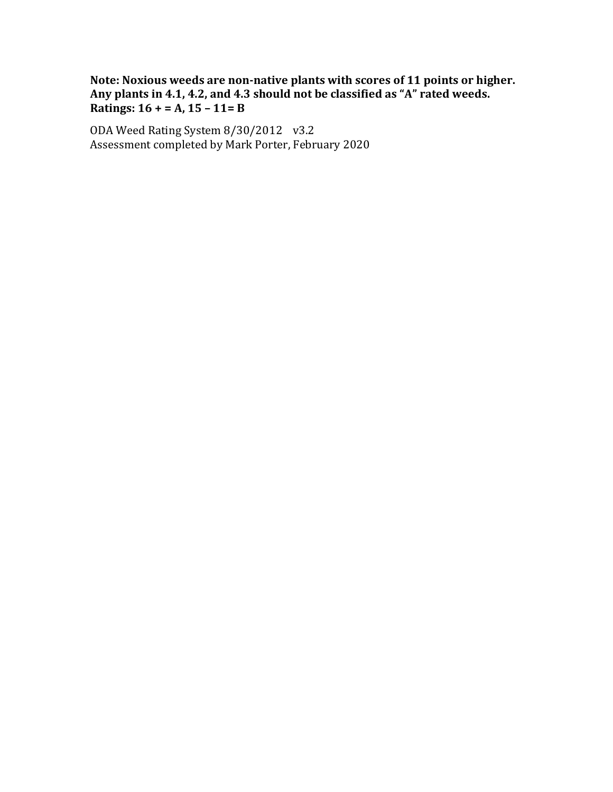Note: Noxious weeds are non-native plants with scores of 11 points or higher. Any plants in 4.1, 4.2, and 4.3 should not be classified as "A" rated weeds. **Ratings:**  $16 + 2 = A$ ,  $15 - 11 = B$ 

ODA Weed Rating System 8/30/2012 v3.2 Assessment completed by Mark Porter, February 2020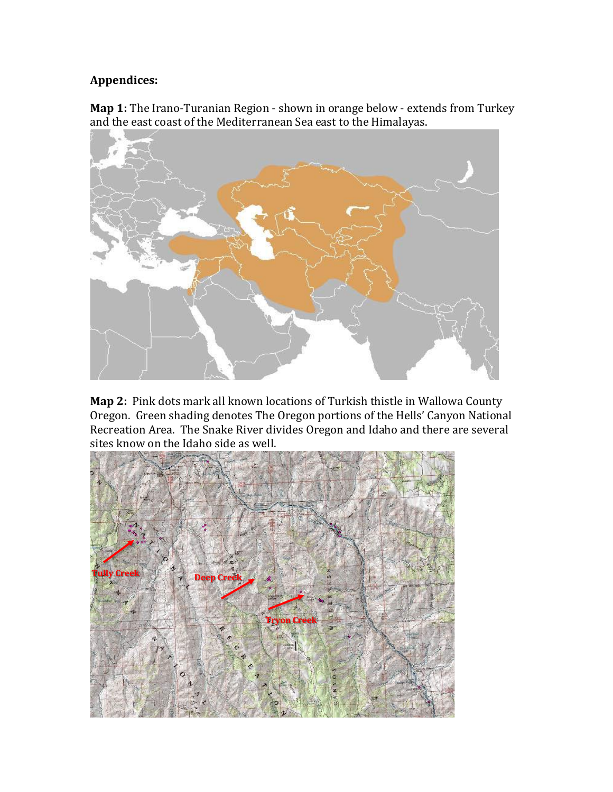# **Appendices:**

**Map 1:** The Irano-Turanian Region - shown in orange below - extends from Turkey and the east coast of the Mediterranean Sea east to the Himalayas.



**Map 2:** Pink dots mark all known locations of Turkish thistle in Wallowa County Oregon. Green shading denotes The Oregon portions of the Hells' Canyon National Recreation Area. The Snake River divides Oregon and Idaho and there are several sites know on the Idaho side as well.

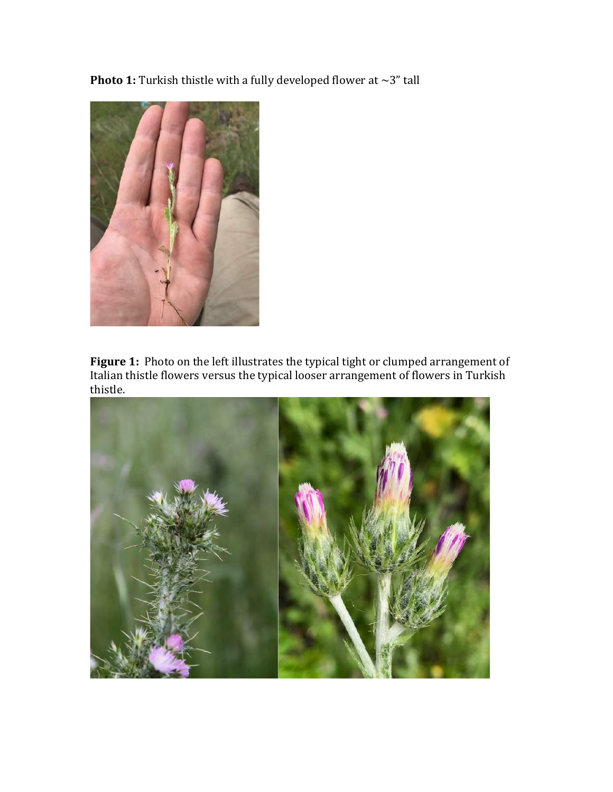**Photo 1:** Turkish thistle with a fully developed flower at  $\sim$ 3" tall



Figure 1: Photo on the left illustrates the typical tight or clumped arrangement of Italian thistle flowers versus the typical looser arrangement of flowers in Turkish thistle. 

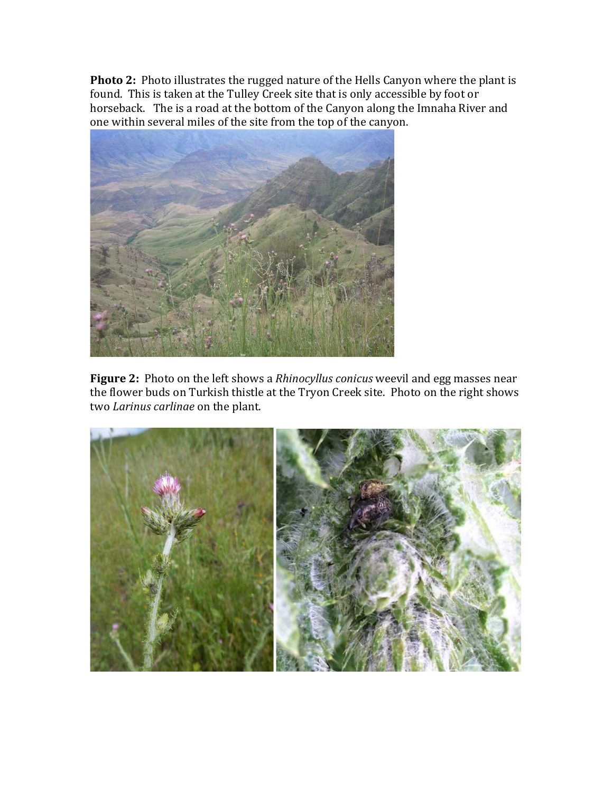**Photo 2:** Photo illustrates the rugged nature of the Hells Canyon where the plant is found. This is taken at the Tulley Creek site that is only accessible by foot or horseback. The is a road at the bottom of the Canyon along the Imnaha River and one within several miles of the site from the top of the canyon.



**Figure 2:** Photo on the left shows a *Rhinocyllus conicus* weevil and egg masses near the flower buds on Turkish thistle at the Tryon Creek site. Photo on the right shows two *Larinus carlinae* on the plant.

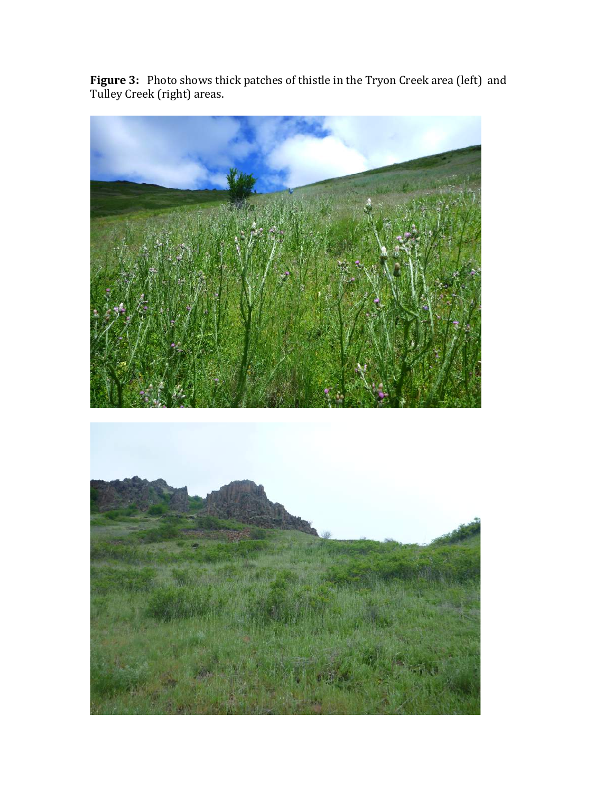**Figure 3:** Photo shows thick patches of thistle in the Tryon Creek area (left) and Tulley Creek (right) areas.

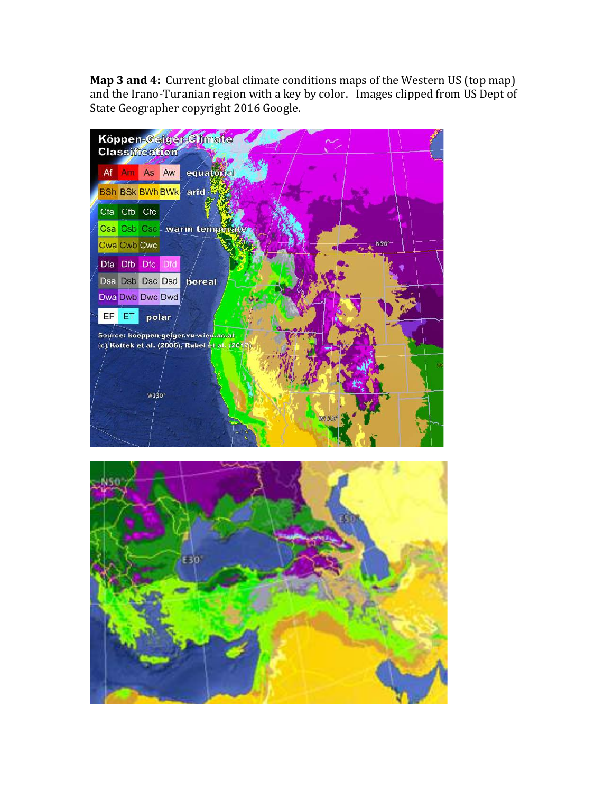**Map 3 and 4:** Current global climate conditions maps of the Western US (top map) and the Irano-Turanian region with a key by color. Images clipped from US Dept of State Geographer copyright 2016 Google.